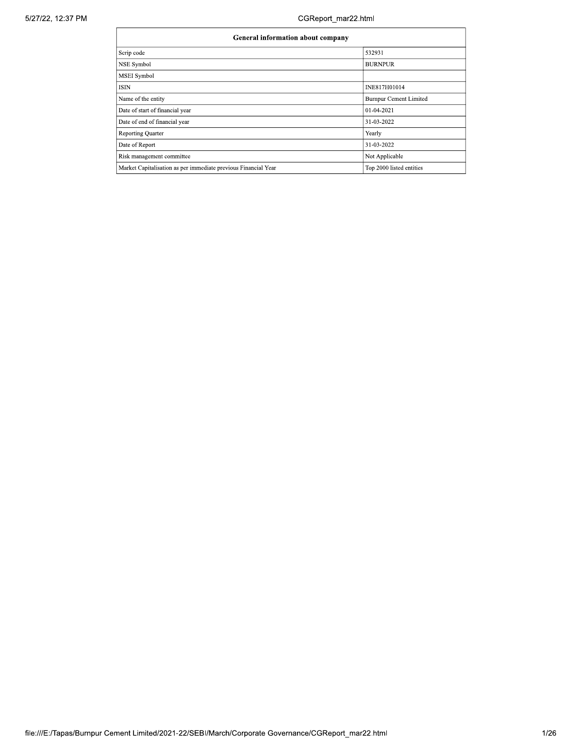| General information about company                              |                               |  |  |  |  |  |  |
|----------------------------------------------------------------|-------------------------------|--|--|--|--|--|--|
| Scrip code                                                     | 532931                        |  |  |  |  |  |  |
| <b>NSE Symbol</b>                                              | <b>BURNPUR</b>                |  |  |  |  |  |  |
| <b>MSEI</b> Symbol                                             |                               |  |  |  |  |  |  |
| <b>ISIN</b>                                                    | INE817H01014                  |  |  |  |  |  |  |
| Name of the entity                                             | <b>Burnpur Cement Limited</b> |  |  |  |  |  |  |
| Date of start of financial year                                | 01-04-2021                    |  |  |  |  |  |  |
| Date of end of financial year                                  | 31-03-2022                    |  |  |  |  |  |  |
| Reporting Quarter                                              | Yearly                        |  |  |  |  |  |  |
| Date of Report                                                 | 31-03-2022                    |  |  |  |  |  |  |
| Risk management committee                                      | Not Applicable                |  |  |  |  |  |  |
| Market Capitalisation as per immediate previous Financial Year | Top 2000 listed entities      |  |  |  |  |  |  |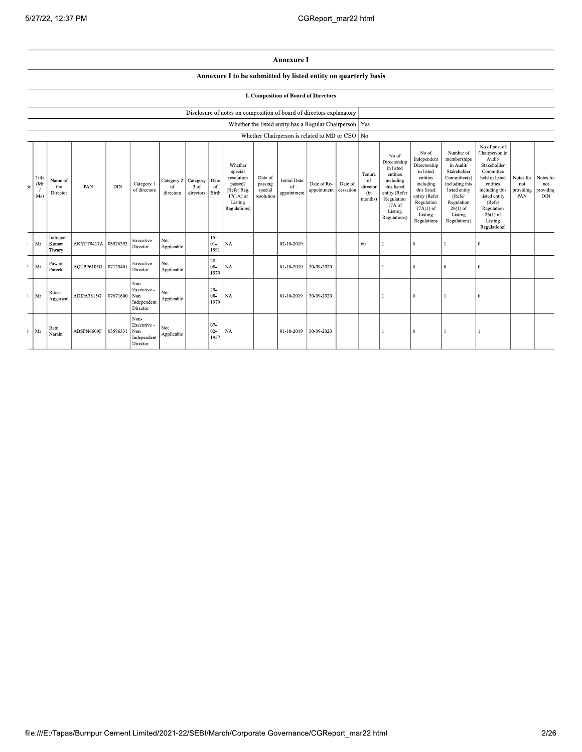## Annexure I

## Annexure I to be submitted by listed entity on quarterly basis

## **I. Composition of Board of Directors**

|           |                              |                              |            |            |                                                       |                                        |                   |                                | Disclosure of notes on composition of board of directors explanatory                                 |                                             |                                          |                                                     |                      |                                            |                                                                                                                                                |                                                                                                                                                                   |                                                                                                                                                                          |                                                                                                                                                                                                         |                                               |                         |
|-----------|------------------------------|------------------------------|------------|------------|-------------------------------------------------------|----------------------------------------|-------------------|--------------------------------|------------------------------------------------------------------------------------------------------|---------------------------------------------|------------------------------------------|-----------------------------------------------------|----------------------|--------------------------------------------|------------------------------------------------------------------------------------------------------------------------------------------------|-------------------------------------------------------------------------------------------------------------------------------------------------------------------|--------------------------------------------------------------------------------------------------------------------------------------------------------------------------|---------------------------------------------------------------------------------------------------------------------------------------------------------------------------------------------------------|-----------------------------------------------|-------------------------|
|           |                              |                              |            |            |                                                       |                                        |                   |                                |                                                                                                      |                                             |                                          | Whether the listed entity has a Regular Chairperson |                      | Yes                                        |                                                                                                                                                |                                                                                                                                                                   |                                                                                                                                                                          |                                                                                                                                                                                                         |                                               |                         |
|           |                              |                              |            |            |                                                       |                                        |                   |                                |                                                                                                      |                                             |                                          | Whether Chairperson is related to MD or CEO No      |                      |                                            |                                                                                                                                                |                                                                                                                                                                   |                                                                                                                                                                          |                                                                                                                                                                                                         |                                               |                         |
| $\rm{sr}$ | Title<br>(Mr<br>Ms)          | Name of<br>the<br>Director   | PAN        | <b>DIN</b> | Category 1<br>of directors                            | Category 2 Category<br>of<br>directors | 3 of<br>directors | Date<br><sup>of</sup><br>Birth | Whether<br>special<br>resolution<br>passed?<br>[Refer Reg.<br>$17(1A)$ of<br>Listing<br>Regulations] | Date of<br>passing<br>special<br>resolution | <b>Initial Date</b><br>of<br>appointment | Date of Re-<br>appointment                          | Date of<br>cessation | Tenure<br>of<br>director<br>(in<br>months) | No of<br>Directorship<br>in listed<br>entities<br>including<br>this listed<br>entity (Refer<br>Regulation<br>17A of<br>Listing<br>Regulations) | No of<br>Independent<br>Directorship<br>in listed<br>entities<br>including<br>this listed<br>entity (Refer<br>Regulation<br>$17A(1)$ of<br>Listing<br>Regulations | Number of<br>memberships<br>in Audit/<br>Stakeholder<br>Committee(s)<br>including this<br>listed entity<br>(Refer<br>Regulation<br>$26(1)$ of<br>Listing<br>Regulations) | No of post of<br>Chairperson in<br>Audit/<br>Stakeholder<br>Committee<br>held in listed<br>entities<br>including this<br>listed entity<br>(Refer<br>Regulation<br>$26(1)$ of<br>Listing<br>Regulations) | Notes for Notes fo<br>not<br>providing<br>PAN | not<br>providing<br>DIN |
|           | Mr                           | Indraject<br>Kumar<br>Tiwary | AKYPT8417A | 06526392   | Executive<br>Director                                 | Not<br>Applicable                      |                   | $15 -$<br>$01-$<br>1991        | $_{\rm NA}$                                                                                          |                                             | 02-10-2019                               |                                                     |                      | 60                                         |                                                                                                                                                | $\overline{0}$                                                                                                                                                    |                                                                                                                                                                          | $\Omega$                                                                                                                                                                                                |                                               |                         |
|           | $2$ Mr                       | Pawan<br>Pareek              | AQTPP6105G | 07125401   | Executive<br>Director                                 | Not<br>Applicable                      |                   | $28 -$<br>08-<br>1970          | NA                                                                                                   |                                             | 01-10-2019                               | 30-09-2020                                          |                      |                                            |                                                                                                                                                | $\theta$                                                                                                                                                          | $\mathbf{0}$                                                                                                                                                             | $\theta$                                                                                                                                                                                                |                                               |                         |
|           | $\sqrt{3}$ Mr                | Ritesh<br>Aggarwal           | ADIPA3815G | 07671600   | Non-<br>Executive -<br>Non<br>Independent<br>Director | Not<br>Applicable                      |                   | $29-$<br>08-<br>1979           | <b>NA</b>                                                                                            |                                             | 01-10-2019                               | 30-09-2020                                          |                      |                                            |                                                                                                                                                | $\Omega$                                                                                                                                                          |                                                                                                                                                                          | $\Omega$                                                                                                                                                                                                |                                               |                         |
|           | $\ensuremath{\mathsf{I}}$ Mr | Ram<br>Narain                | ABSPN6609F | 03596331   | Non-<br>Executive -<br>Non<br>Independent<br>Director | Not<br>Applicable                      |                   | $07 -$<br>$02 -$<br>1957       | <b>NA</b>                                                                                            |                                             | 01-10-2019                               | 30-09-2020                                          |                      |                                            |                                                                                                                                                | $\Omega$                                                                                                                                                          |                                                                                                                                                                          |                                                                                                                                                                                                         |                                               |                         |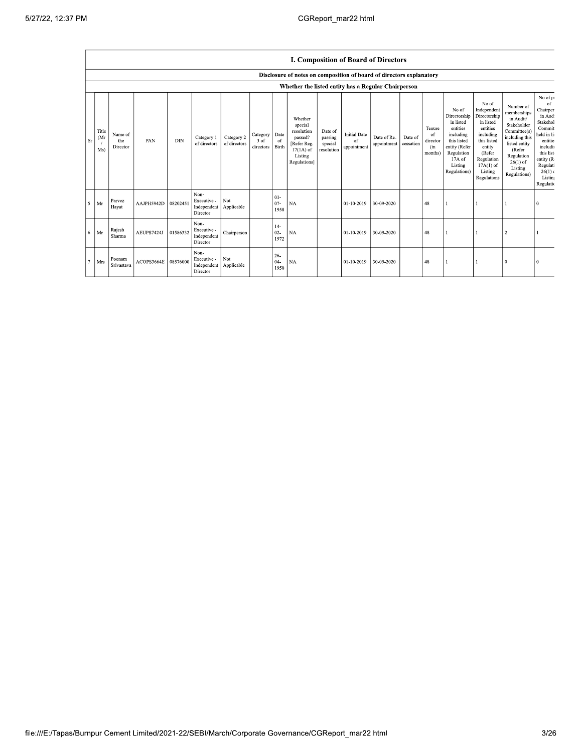$\mathbf{r}$ 

|           | I. Composition of Board of Directors                |                            |            |            |                                                |                            |                                     |                          |                                                                                                      |                                             |                                          |                            |                      |                                            |                                                                                                                                                |                                                                                                                                                                      |                                                                                                                                                                          |                                                                                                                                                                    |
|-----------|-----------------------------------------------------|----------------------------|------------|------------|------------------------------------------------|----------------------------|-------------------------------------|--------------------------|------------------------------------------------------------------------------------------------------|---------------------------------------------|------------------------------------------|----------------------------|----------------------|--------------------------------------------|------------------------------------------------------------------------------------------------------------------------------------------------|----------------------------------------------------------------------------------------------------------------------------------------------------------------------|--------------------------------------------------------------------------------------------------------------------------------------------------------------------------|--------------------------------------------------------------------------------------------------------------------------------------------------------------------|
|           |                                                     |                            |            |            |                                                |                            |                                     |                          | Disclosure of notes on composition of board of directors explanatory                                 |                                             |                                          |                            |                      |                                            |                                                                                                                                                |                                                                                                                                                                      |                                                                                                                                                                          |                                                                                                                                                                    |
|           | Whether the listed entity has a Regular Chairperson |                            |            |            |                                                |                            |                                     |                          |                                                                                                      |                                             |                                          |                            |                      |                                            |                                                                                                                                                |                                                                                                                                                                      |                                                                                                                                                                          |                                                                                                                                                                    |
| <b>Sr</b> | Title<br>(Mr<br>Ms)                                 | Name of<br>the<br>Director | PAN        | <b>DIN</b> | Category 1<br>of directors                     | Category 2<br>of directors | Category<br>3 of<br>directors Birth | Date<br>of               | Whether<br>special<br>resolution<br>passed?<br>[Refer Reg.<br>$17(1A)$ of<br>Listing<br>Regulations] | Date of<br>passing<br>special<br>resolution | <b>Initial Date</b><br>of<br>appointment | Date of Re-<br>appointment | Date of<br>cessation | Tenure<br>of<br>director<br>(in<br>months) | No of<br>Directorship<br>in listed<br>entities<br>including<br>this listed<br>entity (Refer<br>Regulation<br>17A of<br>Listing<br>Regulations) | No of<br>Independent<br>Directorship<br>in listed<br>entities<br>including<br>this listed<br>entity<br>(Refer<br>Regulation<br>$17A(1)$ of<br>Listing<br>Regulations | Number of<br>memberships<br>in Audit/<br>Stakeholder<br>Committee(s)<br>including this<br>listed entity<br>(Refer<br>Regulation<br>$26(1)$ of<br>Listing<br>Regulations) | No of p<br>of<br>Chairper<br>in Aud<br>Stakehol<br>Commit<br>held in li<br>entitie<br>includi<br>this list<br>entity (R<br>Regulati<br>26(1)<br>Listin<br>Regulati |
|           | $5$ Mr                                              | Parvez<br>Hayat            | AAJPH5942D | 08202451   | Non-<br>Executive -<br>Independent<br>Director | Not<br>Applicable          |                                     | $01 -$<br>$07 -$<br>1958 | <b>NA</b>                                                                                            |                                             | 01-10-2019                               | 30-09-2020                 |                      | 48                                         |                                                                                                                                                |                                                                                                                                                                      |                                                                                                                                                                          | $\Omega$                                                                                                                                                           |
|           | $6$ Mr                                              | Rajesh<br>Sharma           | AEUPS7424J | 01586332   | Non-<br>Executive -<br>Independent<br>Director | Chairperson                |                                     | $14-$<br>$02 -$<br>1972  | <b>NA</b>                                                                                            |                                             | $01 - 10 - 2019$                         | 30-09-2020                 |                      | 48                                         |                                                                                                                                                |                                                                                                                                                                      | $\overline{2}$                                                                                                                                                           |                                                                                                                                                                    |
| 7         | Mrs                                                 | Poonam<br>Srivastava       | ACOPS3664E | 08576000   | Non-<br>Executive -<br>Independent<br>Director | Not.<br>Applicable         |                                     | $26 -$<br>$04 -$<br>1950 | <b>NA</b>                                                                                            |                                             | 01-10-2019                               | 30-09-2020                 |                      | 48                                         |                                                                                                                                                |                                                                                                                                                                      | $\Omega$                                                                                                                                                                 |                                                                                                                                                                    |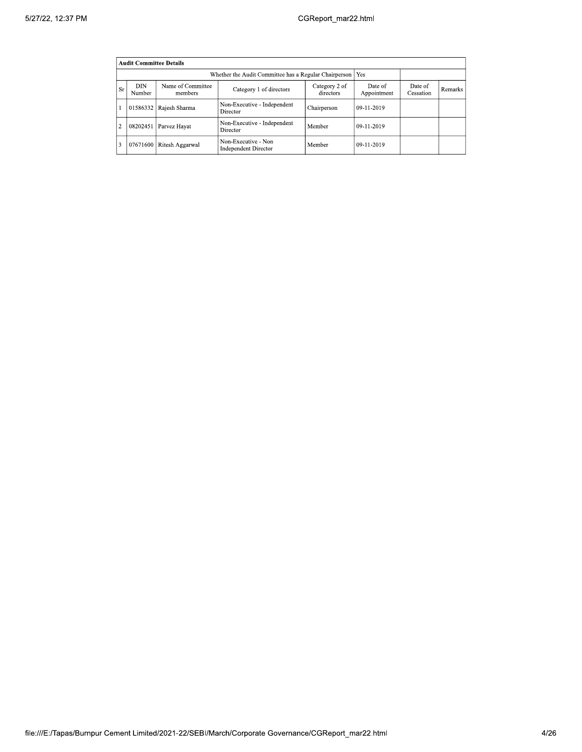|                | <b>Audit Committee Details</b>                              |                              |                                                    |                      |              |  |  |  |  |  |
|----------------|-------------------------------------------------------------|------------------------------|----------------------------------------------------|----------------------|--------------|--|--|--|--|--|
|                | Whether the Audit Committee has a Regular Chairperson   Yes |                              |                                                    |                      |              |  |  |  |  |  |
| <b>Sr</b>      | <b>DIN</b><br>Number                                        | Name of Committee<br>members | Date of<br>Appointment                             | Date of<br>Cessation | Remarks      |  |  |  |  |  |
|                | 01586332                                                    | Rajesh Sharma                | Non-Executive - Independent<br>Director            | Chairperson          | $09-11-2019$ |  |  |  |  |  |
| $\overline{2}$ | 08202451                                                    | Parvez Hayat                 | Non-Executive - Independent<br>Director            | Member               | 09-11-2019   |  |  |  |  |  |
| 13             | 07671600                                                    | Ritesh Aggarwal              | Non-Executive - Non<br><b>Independent Director</b> | Member               | 09-11-2019   |  |  |  |  |  |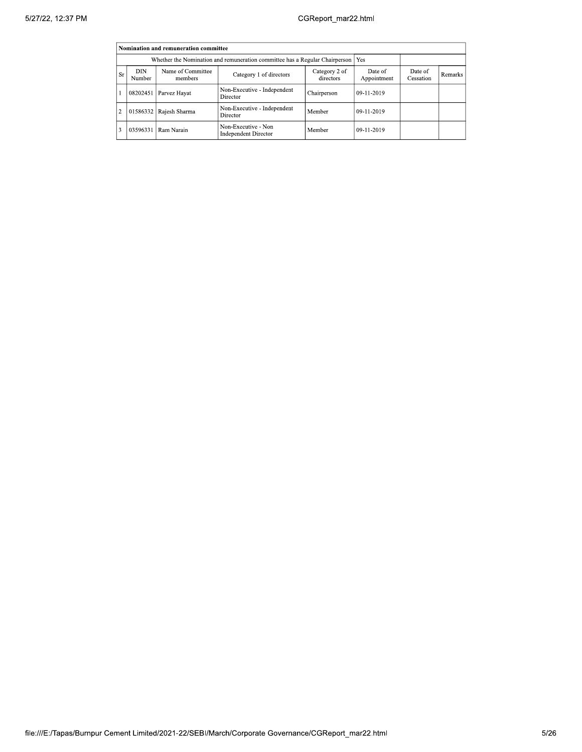|           | Nomination and remuneration committee                                                                                                                                      |               |                                                    |             |            |  |  |  |  |  |
|-----------|----------------------------------------------------------------------------------------------------------------------------------------------------------------------------|---------------|----------------------------------------------------|-------------|------------|--|--|--|--|--|
|           |                                                                                                                                                                            |               |                                                    |             |            |  |  |  |  |  |
| <b>Sr</b> | Name of Committee<br>DIN<br>Category 2 of<br>Date of<br>Date of<br>Category 1 of directors<br><b>Remarks</b><br>directors<br>Appointment<br>Cessation<br>Number<br>members |               |                                                    |             |            |  |  |  |  |  |
|           | 08202451                                                                                                                                                                   | Parvez Hayat  | Non-Executive - Independent<br>Director            | Chairperson | 09-11-2019 |  |  |  |  |  |
| 2         | 01586332                                                                                                                                                                   | Rajesh Sharma | Non-Executive - Independent<br>Director            | Member      | 09-11-2019 |  |  |  |  |  |
|           | 03596331                                                                                                                                                                   | Ram Narain    | Non-Executive - Non<br><b>Independent Director</b> | Member      | 09-11-2019 |  |  |  |  |  |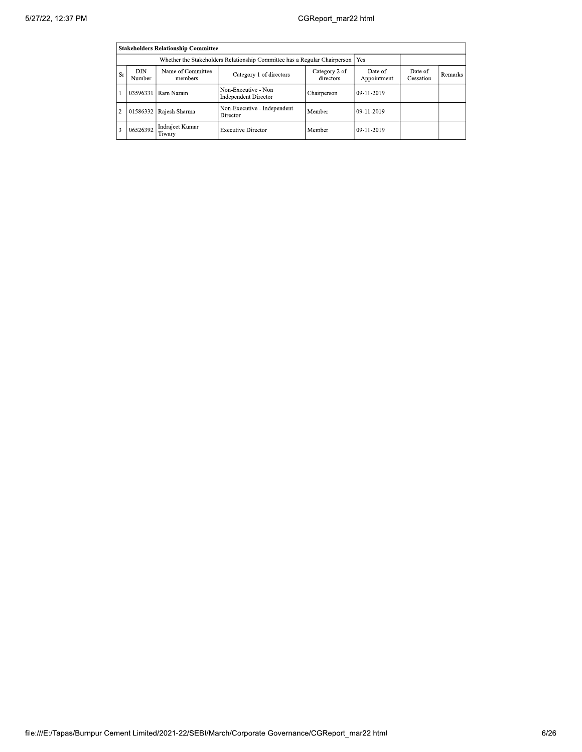|                | <b>Stakeholders Relationship Committee</b>                                                                                                                                        |                           |                                                    |             |            |  |  |  |  |  |
|----------------|-----------------------------------------------------------------------------------------------------------------------------------------------------------------------------------|---------------------------|----------------------------------------------------|-------------|------------|--|--|--|--|--|
|                | Whether the Stakeholders Relationship Committee has a Regular Chairperson<br>Yes                                                                                                  |                           |                                                    |             |            |  |  |  |  |  |
| <b>Sr</b>      | Name of Committee<br><b>DIN</b><br>Category 2 of<br>Date of<br>Date of<br>Category 1 of directors<br><b>Remarks</b><br>directors<br>Appointment<br>Cessation<br>Number<br>members |                           |                                                    |             |            |  |  |  |  |  |
|                | 03596331                                                                                                                                                                          | Ram Narain                | Non-Executive - Non<br><b>Independent Director</b> | Chairperson | 09-11-2019 |  |  |  |  |  |
| $\overline{2}$ | 01586332                                                                                                                                                                          | Rajesh Sharma             | Non-Executive - Independent<br>Director            | Member      | 09-11-2019 |  |  |  |  |  |
| 13             | 06526392                                                                                                                                                                          | Indrajeet Kumar<br>Tiwary | <b>Executive Director</b>                          | Member      | 09-11-2019 |  |  |  |  |  |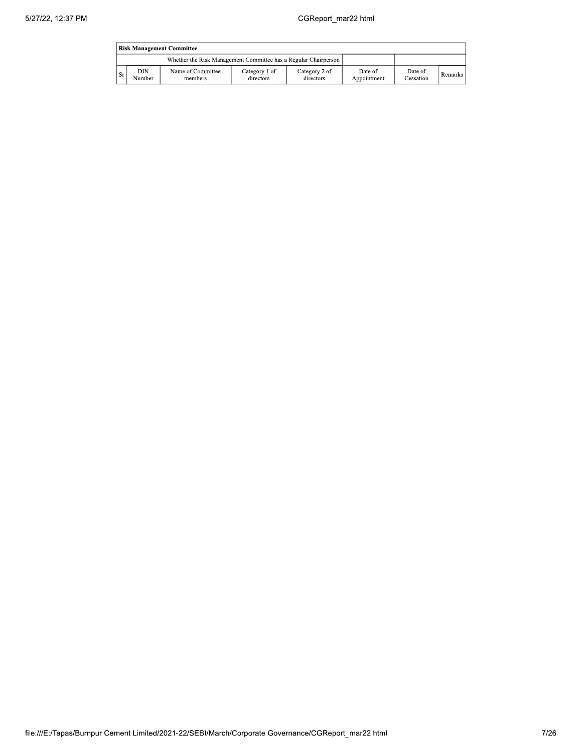|      | <b>Risk Management Committee</b> |                                                                 |                            |                            |                        |                             |                |  |  |
|------|----------------------------------|-----------------------------------------------------------------|----------------------------|----------------------------|------------------------|-----------------------------|----------------|--|--|
|      |                                  | Whether the Risk Management Committee has a Regular Chairperson |                            |                            |                        |                             |                |  |  |
| l Sr | DIN<br>Number                    | Name of Committee<br>members                                    | Category 1 of<br>directors | Category 2 of<br>directors | Date of<br>Appointment | Date of<br><b>Cessation</b> | <b>Remarks</b> |  |  |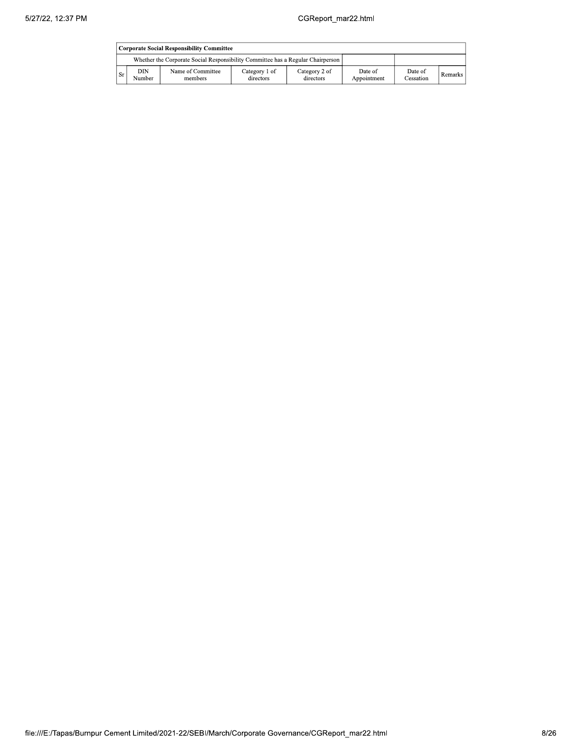|     | Corporate Social Responsibility Committee                                       |                              |                            |                            |                        |                      |                |  |  |
|-----|---------------------------------------------------------------------------------|------------------------------|----------------------------|----------------------------|------------------------|----------------------|----------------|--|--|
|     | Whether the Corporate Social Responsibility Committee has a Regular Chairperson |                              |                            |                            |                        |                      |                |  |  |
| Sr. | DIN<br>Number                                                                   | Name of Committee<br>members | Category 1 of<br>directors | Category 2 of<br>directors | Date of<br>Appointment | Date of<br>Cessation | <b>Remarks</b> |  |  |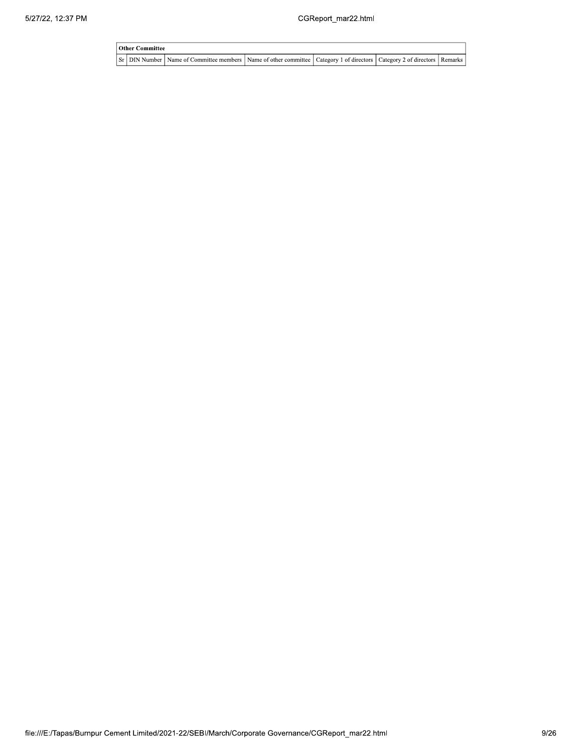| <b>Other Committee</b> |                                                                                                                         |  |  |  |  |  |  |  |  |
|------------------------|-------------------------------------------------------------------------------------------------------------------------|--|--|--|--|--|--|--|--|
|                        | Sr DIN Number Name of Committee members Name of other committee Category 1 of directors Category 2 of directors Remarks |  |  |  |  |  |  |  |  |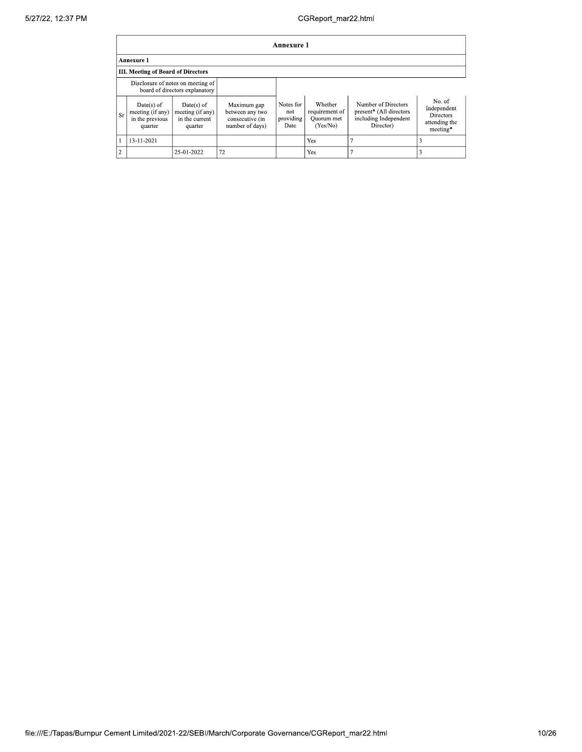|                | <b>Annexure 1</b>                                                   |                                                               |                                                                      |                                       |                                                     |                                                                                      |                                                                        |  |  |  |
|----------------|---------------------------------------------------------------------|---------------------------------------------------------------|----------------------------------------------------------------------|---------------------------------------|-----------------------------------------------------|--------------------------------------------------------------------------------------|------------------------------------------------------------------------|--|--|--|
|                | <b>Annexure 1</b>                                                   |                                                               |                                                                      |                                       |                                                     |                                                                                      |                                                                        |  |  |  |
|                | III. Meeting of Board of Directors                                  |                                                               |                                                                      |                                       |                                                     |                                                                                      |                                                                        |  |  |  |
|                | Disclosure of notes on meeting of<br>board of directors explanatory |                                                               |                                                                      |                                       |                                                     |                                                                                      |                                                                        |  |  |  |
| <b>Sr</b>      | $Date(s)$ of<br>meeting (if any)<br>in the previous<br>quarter      | $Date(s)$ of<br>meeting (if any)<br>in the current<br>quarter | Maximum gap<br>between any two<br>consecutive (in<br>number of days) | Notes for<br>not<br>providing<br>Date | Whether<br>requirement of<br>Ouorum met<br>(Yes/No) | Number of Directors<br>present* (All directors<br>including Independent<br>Director) | No. of<br>Independent<br><b>Directors</b><br>attending the<br>meeting* |  |  |  |
|                | 13-11-2021                                                          |                                                               |                                                                      |                                       | <b>Yes</b>                                          |                                                                                      | 3                                                                      |  |  |  |
| $\overline{2}$ |                                                                     | 25-01-2022                                                    | 72                                                                   |                                       | Yes                                                 |                                                                                      |                                                                        |  |  |  |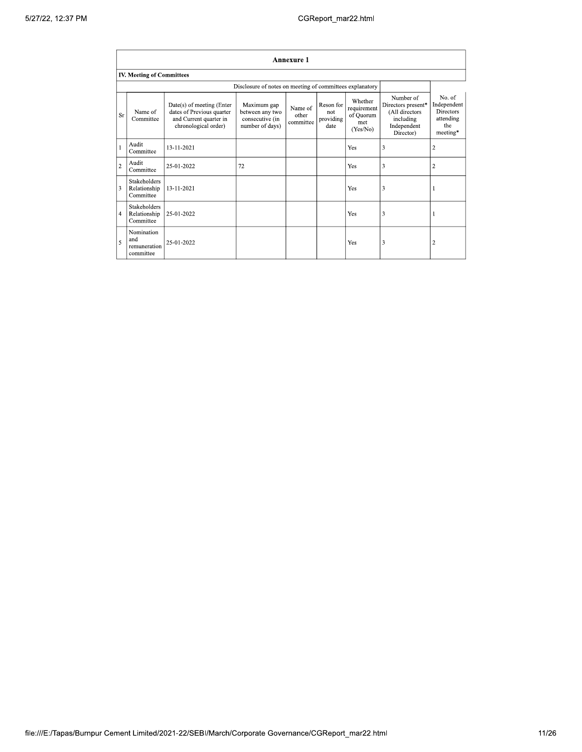|                | <b>Annexure 1</b>                                |                                                                                                          |                                                                      |                               |                                       |                                                        |                                                                                            |                                                                           |  |
|----------------|--------------------------------------------------|----------------------------------------------------------------------------------------------------------|----------------------------------------------------------------------|-------------------------------|---------------------------------------|--------------------------------------------------------|--------------------------------------------------------------------------------------------|---------------------------------------------------------------------------|--|
|                | <b>IV. Meeting of Committees</b>                 |                                                                                                          |                                                                      |                               |                                       |                                                        |                                                                                            |                                                                           |  |
|                |                                                  |                                                                                                          | Disclosure of notes on meeting of committees explanatory             |                               |                                       |                                                        |                                                                                            |                                                                           |  |
| <b>Sr</b>      | Name of<br>Committee                             | Date(s) of meeting (Enter<br>dates of Previous quarter<br>and Current quarter in<br>chronological order) | Maximum gap<br>between any two<br>consecutive (in<br>number of days) | Name of<br>other<br>committee | Reson for<br>not<br>providing<br>date | Whether<br>requirement<br>of Quorum<br>met<br>(Yes/No) | Number of<br>Directors present*<br>(All directors<br>including<br>Independent<br>Director) | No. of<br>Independent<br><b>Directors</b><br>attending<br>the<br>meeting* |  |
|                | Audit<br>Committee                               | 13-11-2021                                                                                               |                                                                      |                               |                                       | Yes                                                    | 3                                                                                          | $\overline{2}$                                                            |  |
| $\overline{c}$ | Audit<br>Committee                               | 25-01-2022                                                                                               | 72                                                                   |                               |                                       | Yes                                                    | 3                                                                                          | $\overline{c}$                                                            |  |
| 3              | <b>Stakeholders</b><br>Relationship<br>Committee | 13-11-2021                                                                                               |                                                                      |                               |                                       | Yes                                                    | 3                                                                                          |                                                                           |  |
| $\overline{4}$ | Stakeholders<br>Relationship<br>Committee        | 25-01-2022                                                                                               |                                                                      |                               |                                       | Yes                                                    | 3                                                                                          | -1                                                                        |  |
| 5              | Nomination<br>and<br>remuneration<br>committee   | 25-01-2022                                                                                               |                                                                      |                               |                                       | Yes                                                    | 3                                                                                          | $\overline{\mathbf{c}}$                                                   |  |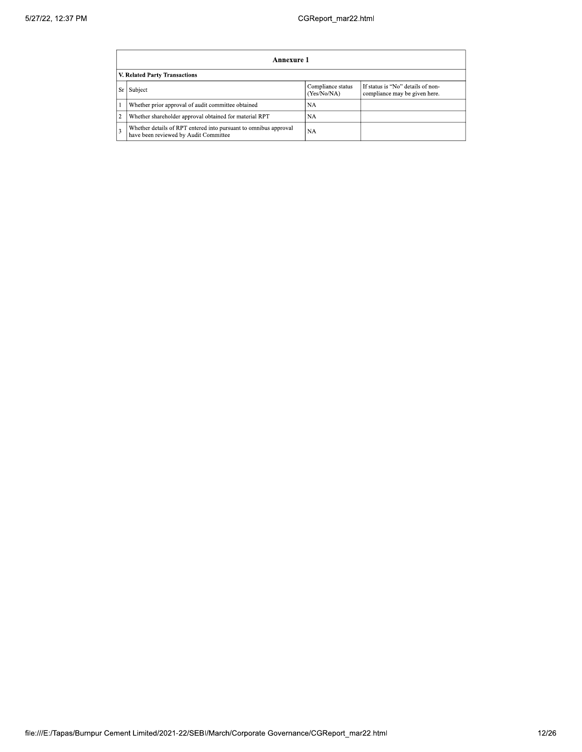|                               | Annexure 1                                                                                                           |    |  |  |  |  |  |  |
|-------------------------------|----------------------------------------------------------------------------------------------------------------------|----|--|--|--|--|--|--|
| V. Related Party Transactions |                                                                                                                      |    |  |  |  |  |  |  |
|                               | If status is "No" details of non-<br>Compliance status<br>Sr Subject<br>(Yes/No/NA)<br>compliance may be given here. |    |  |  |  |  |  |  |
|                               | Whether prior approval of audit committee obtained                                                                   | NA |  |  |  |  |  |  |
|                               | Whether shareholder approval obtained for material RPT                                                               | NA |  |  |  |  |  |  |
|                               | Whether details of RPT entered into pursuant to omnibus approval<br>have been reviewed by Audit Committee            | NA |  |  |  |  |  |  |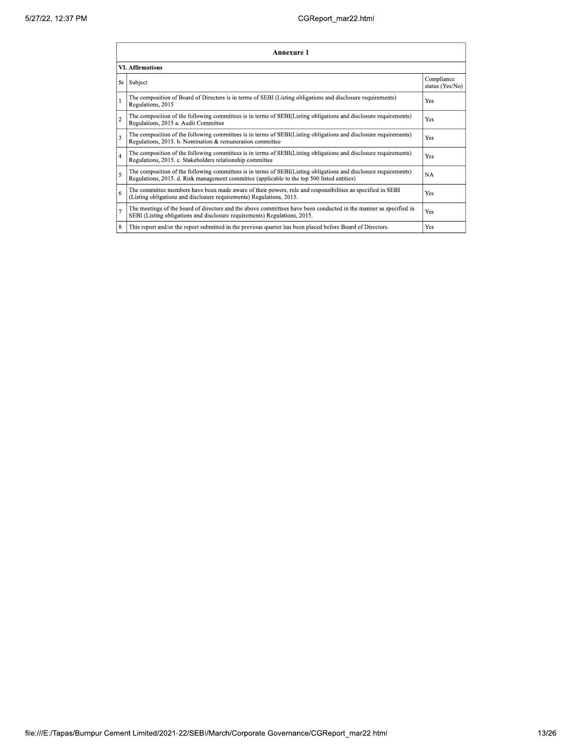|                | Annexure 1                                                                                                                                                                                                      |                               |  |  |  |  |
|----------------|-----------------------------------------------------------------------------------------------------------------------------------------------------------------------------------------------------------------|-------------------------------|--|--|--|--|
|                | <b>VI. Affirmations</b>                                                                                                                                                                                         |                               |  |  |  |  |
| Sr             | Subject                                                                                                                                                                                                         | Compliance<br>status (Yes/No) |  |  |  |  |
| l 1            | The composition of Board of Directors is in terms of SEBI (Listing obligations and disclosure requirements)<br>Regulations, 2015                                                                                | Yes                           |  |  |  |  |
| $\overline{2}$ | The composition of the following committees is in terms of SEBI(Listing obligations and disclosure requirements)<br>Regulations, 2015 a. Audit Committee                                                        | Yes                           |  |  |  |  |
| $\overline{3}$ | The composition of the following committees is in terms of SEBI(Listing obligations and disclosure requirements)<br>Regulations, 2015. b. Nomination & remuneration committee                                   | Yes                           |  |  |  |  |
| $\overline{4}$ | The composition of the following committees is in terms of SEBI(Listing obligations and disclosure requirements)<br>Regulations, 2015. c. Stakeholders relationship committee                                   | Yes                           |  |  |  |  |
| $\overline{5}$ | The composition of the following committees is in terms of SEBI(Listing obligations and disclosure requirements)<br>Regulations, 2015. d. Risk management committee (applicable to the top 500 listed entities) | <b>NA</b>                     |  |  |  |  |
| 6              | The committee members have been made aware of their powers, role and responsibilities as specified in SEBI<br>(Listing obligations and disclosure requirements) Regulations, 2015.                              | Yes                           |  |  |  |  |
| $\overline{7}$ | The meetings of the board of directors and the above committees have been conducted in the manner as specified in<br>SEBI (Listing obligations and disclosure requirements) Regulations, 2015.                  | <b>Yes</b>                    |  |  |  |  |
| 8              | This report and/or the report submitted in the previous quarter has been placed before Board of Directors.                                                                                                      | Yes                           |  |  |  |  |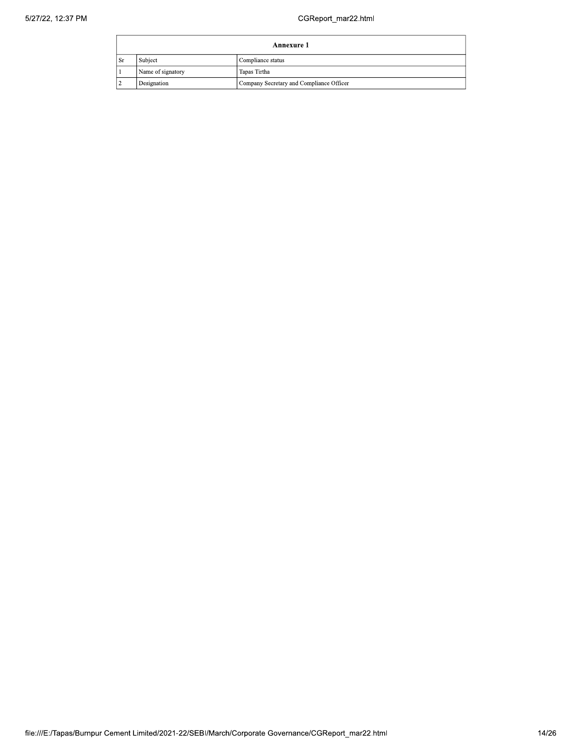|                                   | Annexure 1                   |                                          |  |  |
|-----------------------------------|------------------------------|------------------------------------------|--|--|
| <sub>Sr</sub>                     | Subject<br>Compliance status |                                          |  |  |
| Name of signatory<br>Tapas Tirtha |                              |                                          |  |  |
|                                   | Designation                  | Company Secretary and Compliance Officer |  |  |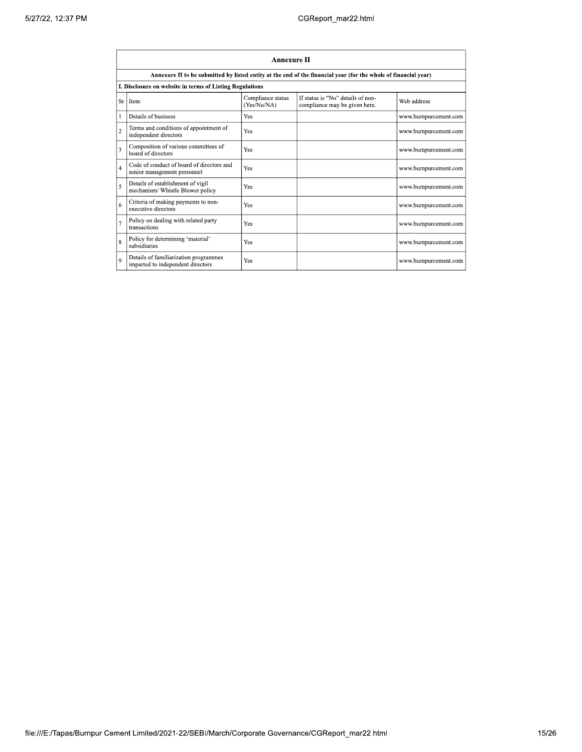|                | <b>Annexure II</b>                                                                                              |                                  |                                                                    |                       |  |  |  |  |
|----------------|-----------------------------------------------------------------------------------------------------------------|----------------------------------|--------------------------------------------------------------------|-----------------------|--|--|--|--|
|                | Annexure II to be submitted by listed entity at the end of the financial year (for the whole of financial year) |                                  |                                                                    |                       |  |  |  |  |
|                | I. Disclosure on website in terms of Listing Regulations                                                        |                                  |                                                                    |                       |  |  |  |  |
| Sr             | Item                                                                                                            | Compliance status<br>(Yes/No/NA) | If status is "No" details of non-<br>compliance may be given here. | Web address           |  |  |  |  |
|                | Details of business                                                                                             | Yes                              |                                                                    | www.burnpurcement.com |  |  |  |  |
| $\overline{c}$ | Terms and conditions of appointment of<br>independent directors                                                 | Yes                              |                                                                    | www.burnpurcement.com |  |  |  |  |
| $\overline{3}$ | Composition of various committees of<br>board of directors                                                      | Yes                              |                                                                    | www.burnpurcement.com |  |  |  |  |
| $\overline{4}$ | Code of conduct of board of directors and<br>senior management personnel                                        | Yes                              |                                                                    | www.burnpurcement.com |  |  |  |  |
| 5              | Details of establishment of vigil<br>mechanism/ Whistle Blower policy                                           | Yes                              |                                                                    | www.burnpurcement.com |  |  |  |  |
| 6              | Criteria of making payments to non-<br>executive directors                                                      | Yes                              |                                                                    | www.burnpurcement.com |  |  |  |  |
| $\overline{7}$ | Policy on dealing with related party<br>transactions                                                            | Yes                              |                                                                    | www.burnpurcement.com |  |  |  |  |
| 8              | Policy for determining 'material'<br>subsidiaries                                                               | Yes                              |                                                                    | www.burnpurcement.com |  |  |  |  |
| $\overline{9}$ | Details of familiarization programmes<br>imparted to independent directors                                      | Yes                              |                                                                    | www.burnpurcement.com |  |  |  |  |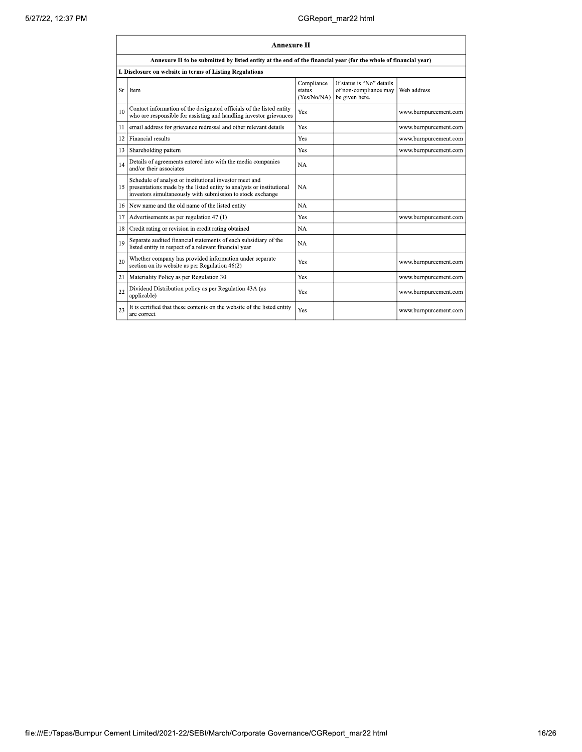|    | <b>Annexure II</b>                                                                                                                                                                           |                                     |                                                                      |                       |  |  |  |
|----|----------------------------------------------------------------------------------------------------------------------------------------------------------------------------------------------|-------------------------------------|----------------------------------------------------------------------|-----------------------|--|--|--|
|    | Annexure II to be submitted by listed entity at the end of the financial year (for the whole of financial year)                                                                              |                                     |                                                                      |                       |  |  |  |
|    | I. Disclosure on website in terms of Listing Regulations                                                                                                                                     |                                     |                                                                      |                       |  |  |  |
| Sr | Item                                                                                                                                                                                         | Compliance<br>status<br>(Yes/No/NA) | If status is "No" details<br>of non-compliance may<br>be given here. | Web address           |  |  |  |
| 10 | Contact information of the designated officials of the listed entity<br>who are responsible for assisting and handling investor grievances                                                   | Yes                                 |                                                                      | www.burnpurcement.com |  |  |  |
| 11 | email address for grievance redressal and other relevant details                                                                                                                             | Yes                                 |                                                                      | www.burnpurcement.com |  |  |  |
| 12 | Financial results                                                                                                                                                                            | Yes                                 |                                                                      | www.burnpurcement.com |  |  |  |
| 13 | Shareholding pattern                                                                                                                                                                         | Yes                                 |                                                                      | www.burnpurcement.com |  |  |  |
| 14 | Details of agreements entered into with the media companies<br>and/or their associates                                                                                                       | NA                                  |                                                                      |                       |  |  |  |
| 15 | Schedule of analyst or institutional investor meet and<br>presentations made by the listed entity to analysts or institutional<br>investors simultaneously with submission to stock exchange | NA                                  |                                                                      |                       |  |  |  |
| 16 | New name and the old name of the listed entity                                                                                                                                               | <b>NA</b>                           |                                                                      |                       |  |  |  |
| 17 | Advertisements as per regulation 47 (1)                                                                                                                                                      | Yes                                 |                                                                      | www.burnpurcement.com |  |  |  |
| 18 | Credit rating or revision in credit rating obtained                                                                                                                                          | <b>NA</b>                           |                                                                      |                       |  |  |  |
| 19 | Separate audited financial statements of each subsidiary of the<br>listed entity in respect of a relevant financial year                                                                     | NA                                  |                                                                      |                       |  |  |  |
| 20 | Whether company has provided information under separate<br>section on its website as per Regulation 46(2)                                                                                    | Yes                                 |                                                                      | www.burnpurcement.com |  |  |  |
| 21 | Materiality Policy as per Regulation 30                                                                                                                                                      | Yes                                 |                                                                      | www.burnpurcement.com |  |  |  |
| 22 | Dividend Distribution policy as per Regulation 43A (as<br>applicable)                                                                                                                        | Yes                                 |                                                                      | www.burnpurcement.com |  |  |  |
| 23 | It is certified that these contents on the website of the listed entity<br>are correct                                                                                                       | Yes                                 |                                                                      | www.burnpurcement.com |  |  |  |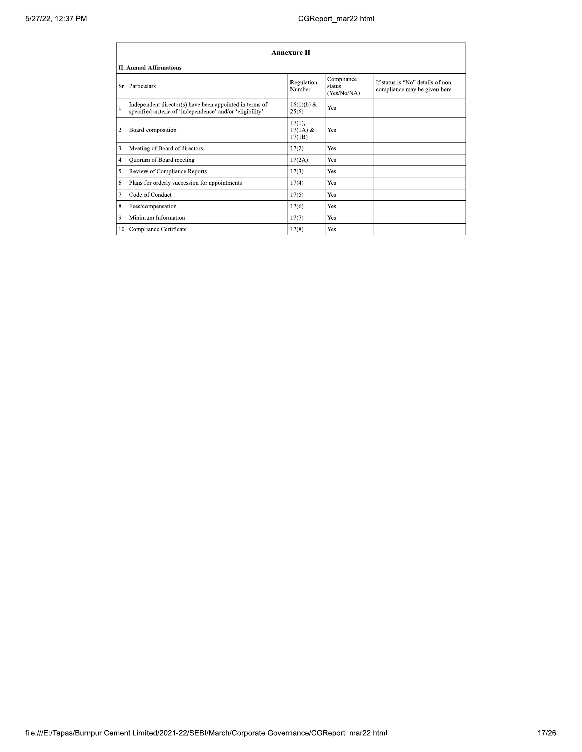|    | Annexure II                                                                                                          |                                |                                     |                                                                    |  |  |
|----|----------------------------------------------------------------------------------------------------------------------|--------------------------------|-------------------------------------|--------------------------------------------------------------------|--|--|
|    | <b>II. Annual Affirmations</b>                                                                                       |                                |                                     |                                                                    |  |  |
| Sr | Particulars                                                                                                          | Regulation<br>Number           | Compliance<br>status<br>(Yes/No/NA) | If status is "No" details of non-<br>compliance may be given here. |  |  |
|    | Independent director(s) have been appointed in terms of<br>specified criteria of 'independence' and/or 'eligibility' | $16(1)(b)$ &<br>25(6)          | Yes                                 |                                                                    |  |  |
| 2  | Board composition                                                                                                    | 17(1),<br>$17(1A)$ &<br>17(1B) | Yes                                 |                                                                    |  |  |
| 3  | Meeting of Board of directors                                                                                        | 17(2)                          | Yes                                 |                                                                    |  |  |
| 4  | Quorum of Board meeting                                                                                              | 17(2A)                         | Yes                                 |                                                                    |  |  |
| 5  | Review of Compliance Reports                                                                                         | 17(3)                          | Yes                                 |                                                                    |  |  |
| 6  | Plans for orderly succession for appointments                                                                        | 17(4)                          | Yes                                 |                                                                    |  |  |
| 7  | Code of Conduct                                                                                                      | 17(5)                          | Yes                                 |                                                                    |  |  |
| 8  | Fees/compensation                                                                                                    | 17(6)                          | Yes                                 |                                                                    |  |  |
| 9  | Minimum Information                                                                                                  | 17(7)                          | Yes                                 |                                                                    |  |  |
|    | 10 Compliance Certificate                                                                                            | 17(8)                          | Yes                                 |                                                                    |  |  |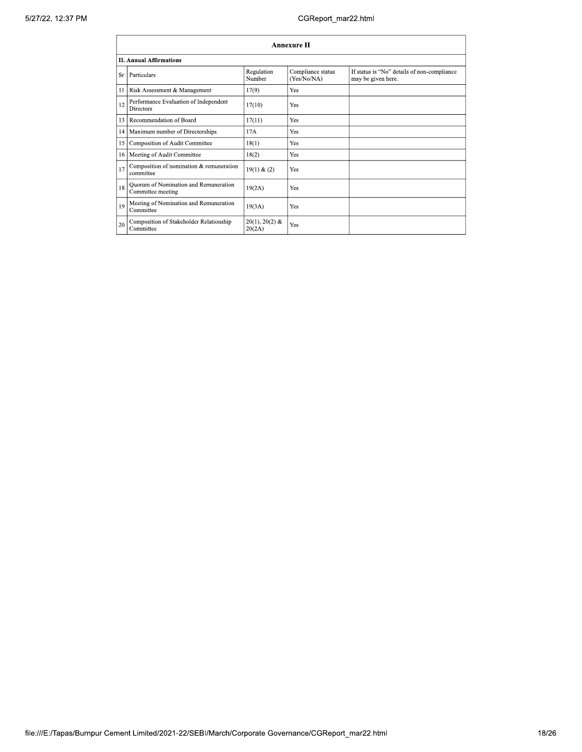|           | <b>Annexure II</b>                                         |                            |                                  |                                                                   |  |  |
|-----------|------------------------------------------------------------|----------------------------|----------------------------------|-------------------------------------------------------------------|--|--|
|           | <b>II. Annual Affirmations</b>                             |                            |                                  |                                                                   |  |  |
| <b>Sr</b> | Particulars                                                | Regulation<br>Number       | Compliance status<br>(Yes/No/NA) | If status is "No" details of non-compliance<br>may be given here. |  |  |
| 11        | Risk Assessment & Management                               | 17(9)                      | Yes                              |                                                                   |  |  |
| 12        | Performance Evaluation of Independent<br><b>Directors</b>  | 17(10)                     | Yes                              |                                                                   |  |  |
| 13        | Recommendation of Board                                    | 17(11)                     | Yes                              |                                                                   |  |  |
| 14        | Maximum number of Directorships                            | 17A                        | Yes                              |                                                                   |  |  |
| 15        | Composition of Audit Committee                             | 18(1)                      | Yes                              |                                                                   |  |  |
| 16        | Meeting of Audit Committee                                 | 18(2)                      | Yes                              |                                                                   |  |  |
| 17        | Composition of nomination & remuneration<br>committee      | 19(1) & (2)                | Yes                              |                                                                   |  |  |
| 18        | Quorum of Nomination and Remuneration<br>Committee meeting | 19(2A)                     | Yes                              |                                                                   |  |  |
| 19        | Meeting of Nomination and Remuneration<br>Committee        | 19(3A)                     | Yes                              |                                                                   |  |  |
| 20        | Composition of Stakeholder Relationship<br>Committee       | $20(1), 20(2)$ &<br>20(2A) | Yes                              |                                                                   |  |  |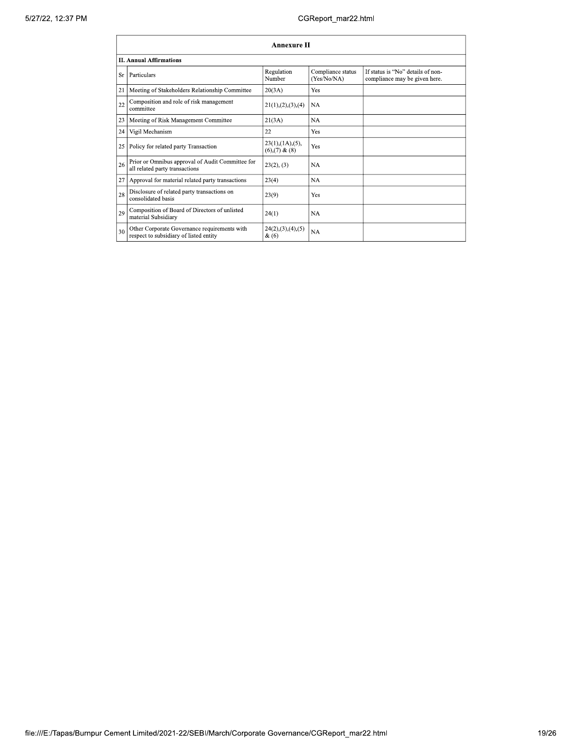| <b>Annexure II</b>                                                                           |                                                     |                                  |                                                                    |  |  |
|----------------------------------------------------------------------------------------------|-----------------------------------------------------|----------------------------------|--------------------------------------------------------------------|--|--|
| <b>II. Annual Affirmations</b>                                                               |                                                     |                                  |                                                                    |  |  |
| Particulars<br>Sr                                                                            | Regulation<br>Number                                | Compliance status<br>(Yes/No/NA) | If status is "No" details of non-<br>compliance may be given here. |  |  |
| 21<br>Meeting of Stakeholders Relationship Committee                                         | 20(3A)                                              | Yes                              |                                                                    |  |  |
| Composition and role of risk management<br>22<br>committee                                   | 21(1), (2), (3), (4)                                | NA                               |                                                                    |  |  |
| Meeting of Risk Management Committee<br>23                                                   | 21(3A)                                              | NA                               |                                                                    |  |  |
| Vigil Mechanism<br>24                                                                        | 22                                                  | Yes                              |                                                                    |  |  |
| 25<br>Policy for related party Transaction                                                   | $23(1)$ , $(1A)$ , $(5)$ ,<br>$(6)$ , $(7)$ & $(8)$ | Yes                              |                                                                    |  |  |
| Prior or Omnibus approval of Audit Committee for<br>26<br>all related party transactions     | 23(2), (3)                                          | NA                               |                                                                    |  |  |
| 27<br>Approval for material related party transactions                                       | 23(4)                                               | NA                               |                                                                    |  |  |
| Disclosure of related party transactions on<br>28<br>consolidated basis                      | 23(9)                                               | Yes                              |                                                                    |  |  |
| Composition of Board of Directors of unlisted<br>29<br>material Subsidiary                   | 24(1)                                               | <b>NA</b>                        |                                                                    |  |  |
| Other Corporate Governance requirements with<br>30<br>respect to subsidiary of listed entity | 24(2),(3),(4),(5)<br>$\&(6)$                        | NA                               |                                                                    |  |  |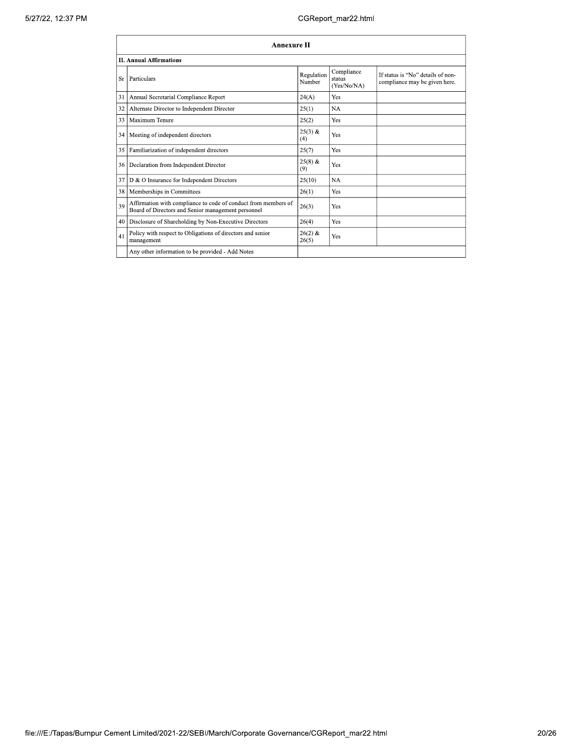|    | <b>Annexure II</b>                                                                                                   |                      |                                     |                                                                    |  |
|----|----------------------------------------------------------------------------------------------------------------------|----------------------|-------------------------------------|--------------------------------------------------------------------|--|
|    | <b>II. Annual Affirmations</b>                                                                                       |                      |                                     |                                                                    |  |
| Sr | Particulars                                                                                                          | Regulation<br>Number | Compliance<br>status<br>(Yes/No/NA) | If status is "No" details of non-<br>compliance may be given here. |  |
| 31 | Annual Secretarial Compliance Report                                                                                 | 24(A)                | Yes                                 |                                                                    |  |
| 32 | Alternate Director to Independent Director                                                                           | 25(1)                | <b>NA</b>                           |                                                                    |  |
| 33 | Maximum Tenure                                                                                                       | 25(2)                | Yes                                 |                                                                    |  |
| 34 | Meeting of independent directors                                                                                     | $25(3)$ &<br>(4)     | Yes                                 |                                                                    |  |
| 35 | Familiarization of independent directors                                                                             | 25(7)                | Yes                                 |                                                                    |  |
|    | 36   Declaration from Independent Director                                                                           | $25(8)$ &<br>(9)     | Yes                                 |                                                                    |  |
| 37 | D & O Insurance for Independent Directors                                                                            | 25(10)               | <b>NA</b>                           |                                                                    |  |
| 38 | Memberships in Committees                                                                                            | 26(1)                | Yes                                 |                                                                    |  |
| 39 | Affirmation with compliance to code of conduct from members of<br>Board of Directors and Senior management personnel | 26(3)                | Yes                                 |                                                                    |  |
| 40 | Disclosure of Shareholding by Non-Executive Directors                                                                | 26(4)                | Yes                                 |                                                                    |  |
| 41 | Policy with respect to Obligations of directors and senior<br>management                                             | $26(2)$ &<br>26(5)   | Yes                                 |                                                                    |  |
|    | Any other information to be provided - Add Notes                                                                     |                      |                                     |                                                                    |  |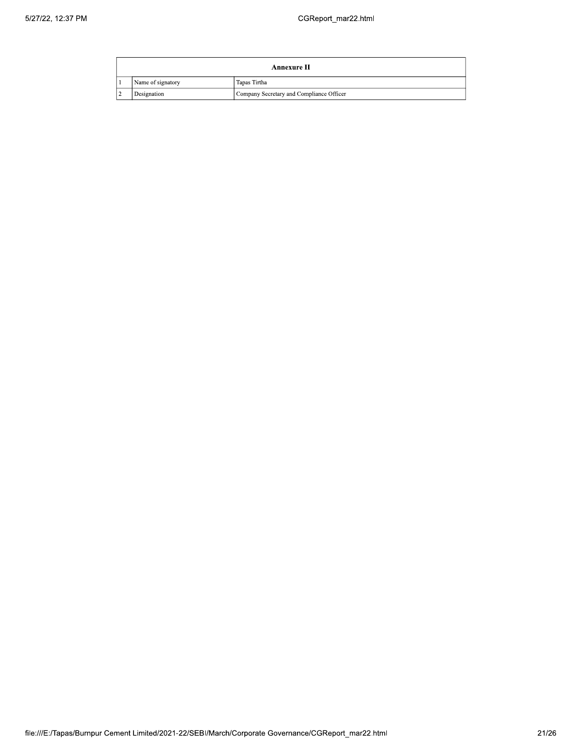|    | Annexure II       |                                          |  |  |
|----|-------------------|------------------------------------------|--|--|
|    | Name of signatory | Tapas Tirtha                             |  |  |
| -4 | Designation       | Company Secretary and Compliance Officer |  |  |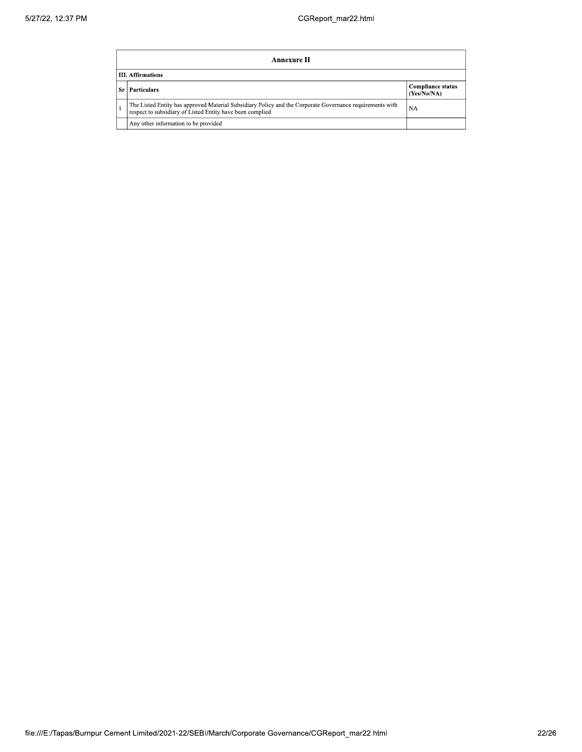|       | Annexure II                                                                                                                                                           |                                         |  |  |  |
|-------|-----------------------------------------------------------------------------------------------------------------------------------------------------------------------|-----------------------------------------|--|--|--|
|       | <b>III.</b> Affirmations                                                                                                                                              |                                         |  |  |  |
| -Sr I | <b>Particulars</b>                                                                                                                                                    | <b>Compliance status</b><br>(Yes/No/NA) |  |  |  |
|       | The Listed Entity has approved Material Subsidiary Policy and the Corporate Governance requirements with<br>respect to subsidiary of Listed Entity have been complied | NA                                      |  |  |  |
|       | Any other information to be provided                                                                                                                                  |                                         |  |  |  |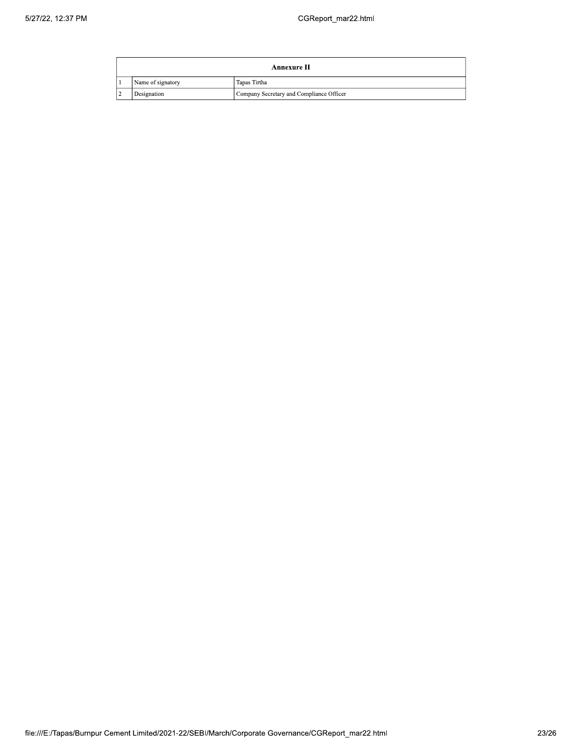|    | Annexure II       |                                          |  |  |
|----|-------------------|------------------------------------------|--|--|
|    | Name of signatory | Tapas Tirtha                             |  |  |
| -4 | Designation       | Company Secretary and Compliance Officer |  |  |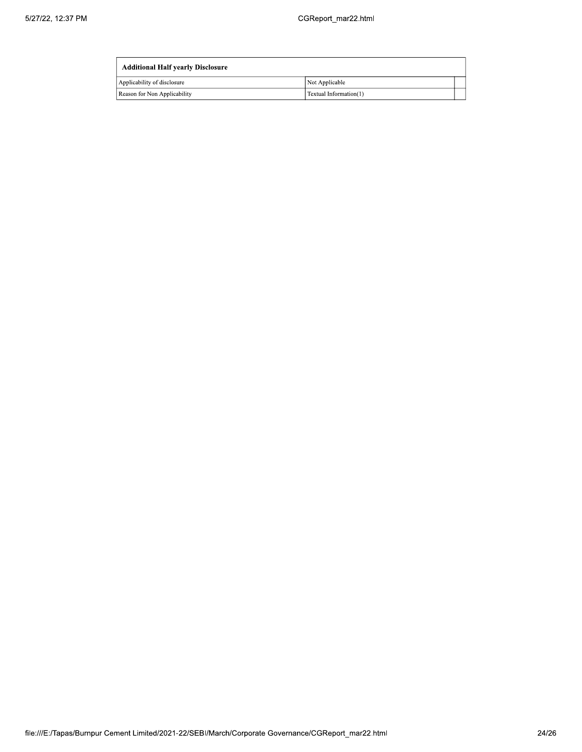| <b>Additional Half yearly Disclosure</b> |                        |  |  |  |
|------------------------------------------|------------------------|--|--|--|
| Applicability of disclosure              | Not Applicable         |  |  |  |
| Reason for Non Applicability             | Textual Information(1) |  |  |  |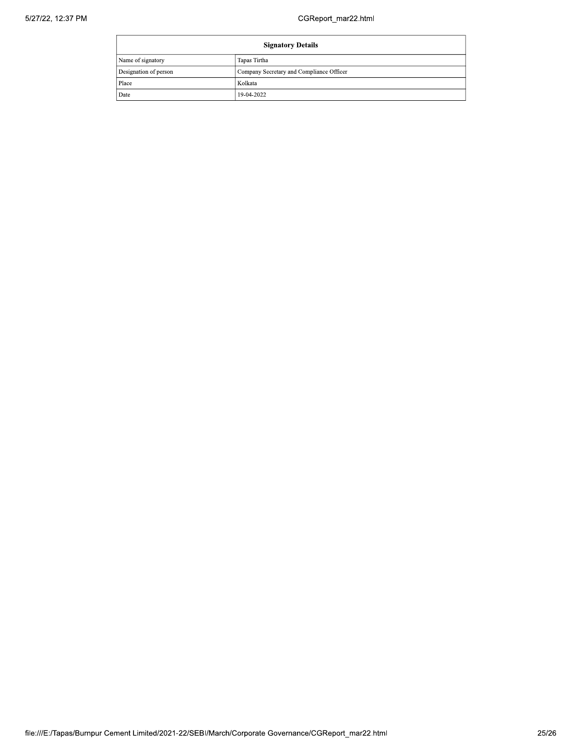| <b>Signatory Details</b> |                                          |
|--------------------------|------------------------------------------|
| Name of signatory        | Tapas Tirtha                             |
| Designation of person    | Company Secretary and Compliance Officer |
| Place                    | Kolkata                                  |
| Date                     | 19-04-2022                               |